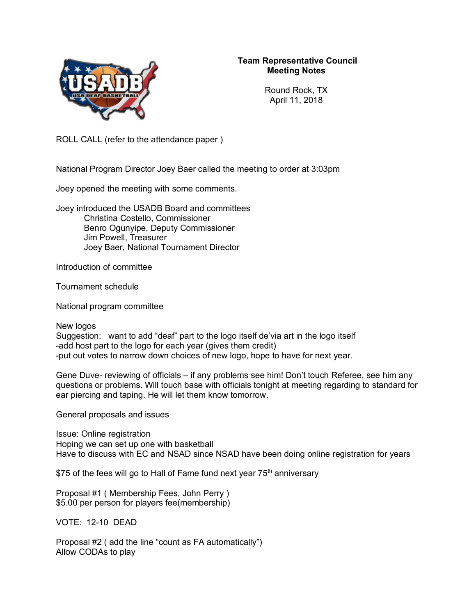

## **Team Representative Council Meeting Notes**

Round Rock, TX April 11, 2018

ROLL CALL (refer to the attendance paper )

National Program Director Joey Baer called the meeting to order at 3:03pm

Joey opened the meeting with some comments.

Joey introduced the USADB Board and committees Christina Costello, Commissioner Benro Ogunyipe, Deputy Commissioner Jim Powell, Treasurer Joey Baer, National Tournament Director

Introduction of committee

Tournament schedule

National program committee

New logos

Suggestion: want to add "deaf" part to the logo itself de'via art in the logo itself -add host part to the logo for each year (gives them credit) -put out votes to narrow down choices of new logo, hope to have for next year.

Gene Duve- reviewing of officials – if any problems see him! Don't touch Referee, see him any questions or problems. Will touch base with officials tonight at meeting regarding to standard for ear piercing and taping. He will let them know tomorrow.

General proposals and issues

Issue: Online registration Hoping we can set up one with basketball Have to discuss with EC and NSAD since NSAD have been doing online registration for years

\$75 of the fees will go to Hall of Fame fund next year  $75<sup>th</sup>$  anniversary

Proposal #1 ( Membership Fees, John Perry ) \$5.00 per person for players fee(membership)

VOTE: 12-10 DEAD

Proposal #2 ( add the line "count as FA automatically") Allow CODAs to play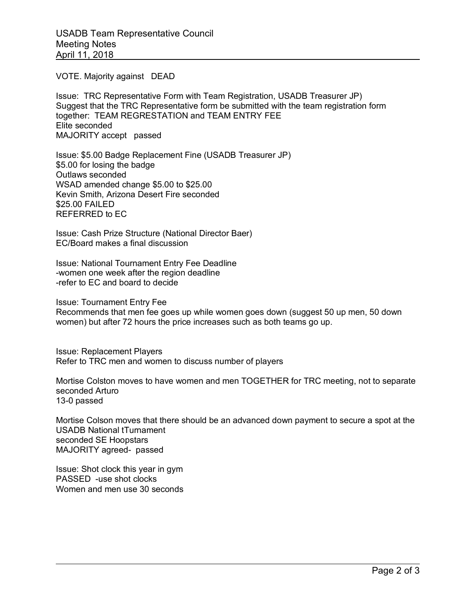VOTE. Majority against DEAD

Issue: TRC Representative Form with Team Registration, USADB Treasurer JP) Suggest that the TRC Representative form be submitted with the team registration form together: TEAM REGRESTATION and TEAM ENTRY FEE Elite seconded MAJORITY accept passed

Issue: \$5.00 Badge Replacement Fine (USADB Treasurer JP) \$5.00 for losing the badge Outlaws seconded WSAD amended change \$5.00 to \$25.00 Kevin Smith, Arizona Desert Fire seconded \$25.00 FAILED REFERRED to EC

Issue: Cash Prize Structure (National Director Baer) EC/Board makes a final discussion

Issue: National Tournament Entry Fee Deadline -women one week after the region deadline -refer to EC and board to decide

Issue: Tournament Entry Fee

Recommends that men fee goes up while women goes down (suggest 50 up men, 50 down women) but after 72 hours the price increases such as both teams go up.

Issue: Replacement Players Refer to TRC men and women to discuss number of players

Mortise Colston moves to have women and men TOGETHER for TRC meeting, not to separate seconded Arturo 13-0 passed

Mortise Colson moves that there should be an advanced down payment to secure a spot at the USADB National tTurnament seconded SE Hoopstars MAJORITY agreed- passed

Issue: Shot clock this year in gym PASSED -use shot clocks Women and men use 30 seconds